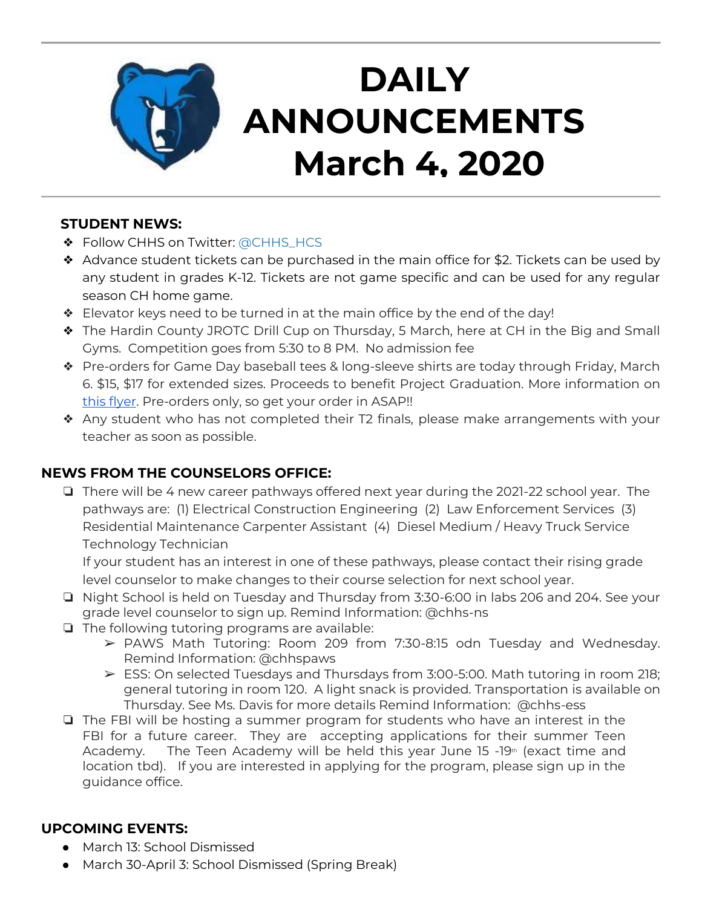

# **DAILY ANNOUNCEMENTS March 4, 2020**

### **STUDENT NEWS:**

- ❖ Follow CHHS on Twitter: [@CHHS\\_HCS](https://twitter.com/CHHS_HCS)
- ❖ Advance student tickets can be purchased in the main office for \$2. Tickets can be used by any student in grades K-12. Tickets are not game specific and can be used for any regular season CH home game.
- ❖ Elevator keys need to be turned in at the main office by the end of the day!
- ❖ The Hardin County JROTC Drill Cup on Thursday, 5 March, here at CH in the Big and Small Gyms. Competition goes from 5:30 to 8 PM. No admission fee
- ❖ Pre-orders for Game Day baseball tees & long-sleeve shirts are today through Friday, March 6. \$15, \$17 for extended sizes. Proceeds to benefit Project Graduation. More information on [this flyer.](https://docs.google.com/document/d/1TYikQWSl-159HW2fqa2rBfN3XxtHYr1f7SyOB9_OtCA/edit?usp=sharing) Pre-orders only, so get your order in ASAP!!
- ❖ Any student who has not completed their T2 finals, please make arrangements with your teacher as soon as possible.

## **NEWS FROM THE COUNSELORS OFFICE:**

❏ There will be 4 new career pathways offered next year during the 2021-22 school year. The pathways are: (1) Electrical Construction Engineering (2) Law Enforcement Services (3) Residential Maintenance Carpenter Assistant (4) Diesel Medium / Heavy Truck Service Technology Technician

If your student has an interest in one of these pathways, please contact their rising grade level counselor to make changes to their course selection for next school year.

- ❏ Night School is held on Tuesday and Thursday from 3:30-6:00 in labs 206 and 204. See your grade level counselor to sign up. Remind Information: @chhs-ns
- ❏ The following tutoring programs are available:
	- ➢ PAWS Math Tutoring: Room 209 from 7:30-8:15 odn Tuesday and Wednesday. Remind Information: @chhspaws
	- ➢ ESS: On selected Tuesdays and Thursdays from 3:00-5:00. Math tutoring in room 218; general tutoring in room 120. A light snack is provided. Transportation is available on Thursday. See Ms. Davis for more details Remind Information: @chhs-ess
- ❏ The FBI will be hosting a summer program for students who have an interest in the FBI for a future career. They are accepting applications for their summer Teen Academy. The Teen Academy will be held this year June 15  $-19<sup>th</sup>$  (exact time and location tbd). If you are interested in applying for the program, please sign up in the guidance office.

## **UPCOMING EVENTS:**

- March 13: School Dismissed
- March 30-April 3: School Dismissed (Spring Break)